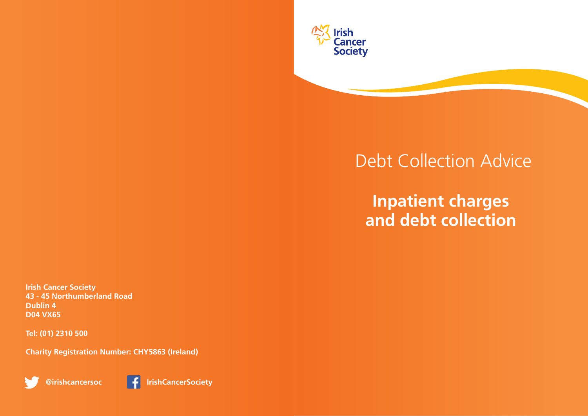

# Debt Collection Advice

## **Inpatient charges and debt collection**

**Irish Cancer Society 43 - 45 Northumberland Road Dublin 4 D04 VX65**

**Tel: (01) 2310 500**

**Charity Registration Number: CHY5863 (Ireland)**